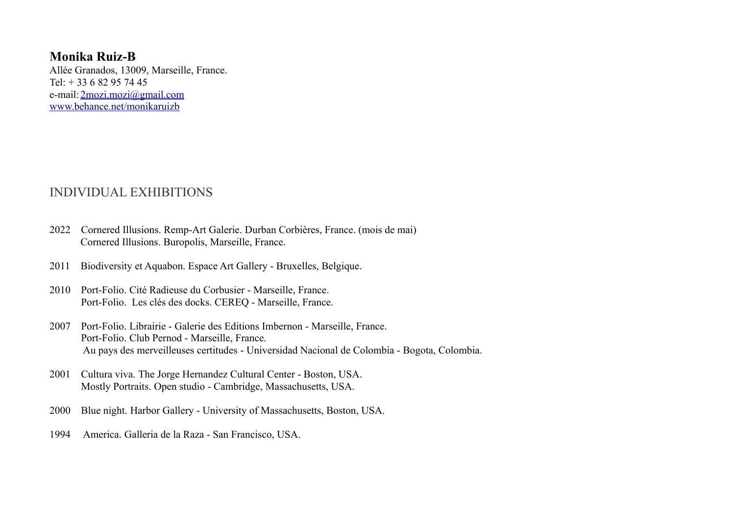**Monika Ruiz-B**  Allée Granados, 13009, Marseille, France. Tel:  $+ 33682957445$ e-mail: [2mozi.mozi@gmail.com](mailto:2mozi.mozi@gmail.com) [www.behance.net/monikaruizb](http://www.behance.net/monikaruizb)

### INDIVIDUAL EXHIBITIONS

- 2022 Cornered Illusions. Remp-Art Galerie. Durban Corbières, France. (mois de mai) Cornered Illusions. Buropolis, Marseille, France.
- 2011 Biodiversity et Aquabon. Espace Art Gallery Bruxelles, Belgique.
- 2010 Port-Folio. Cité Radieuse du Corbusier Marseille, France. Port-Folio. Les clés des docks. CEREQ - Marseille, France.
- 2007 Port-Folio. Librairie Galerie des Editions Imbernon Marseille, France. Port-Folio. Club Pernod - Marseille, France. Au pays des merveilleuses certitudes - Universidad Nacional de Colombia - Bogota, Colombia.
- 2001 Cultura viva. The Jorge Hernandez Cultural Center Boston, USA. Mostly Portraits. Open studio - Cambridge, Massachusetts, USA.
- 2000 Blue night. Harbor Gallery University of Massachusetts, Boston, USA.
- 1994 America. Galleria de la Raza San Francisco, USA.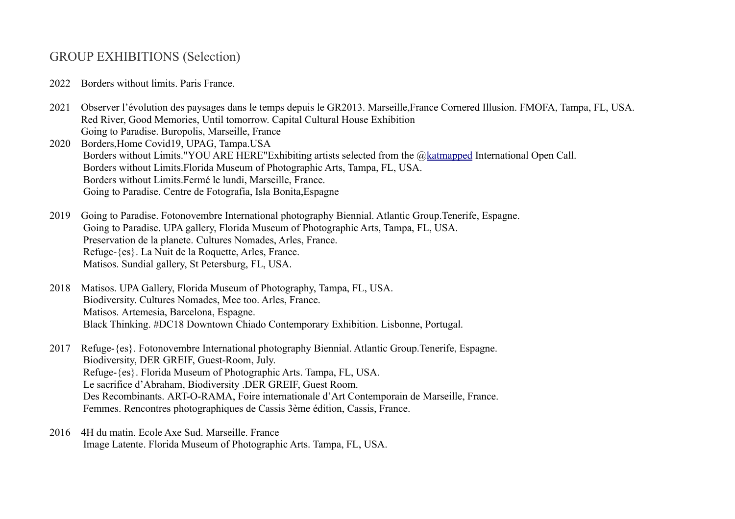# GROUP EXHIBITIONS (Selection)

- 2022 Borders without limits. Paris France.
- 2021 Observer l'évolution des paysages dans le temps depuis le GR2013. Marseille,France Cornered Illusion. FMOFA, Tampa, FL, USA. Red River, Good Memories, Until tomorrow. Capital Cultural House Exhibition Going to Paradise. Buropolis, Marseille, France
- 2020 Borders,Home Covid19, UPAG, Tampa.USA Borders without Limits."YOU ARE HERE"Exhibiting artists selected from the [@katmapped](https://www.instagram.com/katmapped/) International Open Call. Borders without Limits.Florida Museum of Photographic Arts, Tampa, FL, USA. Borders without Limits.Fermé le lundi, Marseille, France. Going to Paradise. Centre de Fotografia, Isla Bonita,Espagne
- 2019 Going to Paradise. Fotonovembre International photography Biennial. Atlantic Group.Tenerife, Espagne. Going to Paradise. UPA gallery, Florida Museum of Photographic Arts, Tampa, FL, USA. Preservation de la planete. Cultures Nomades, Arles, France. Refuge-{es}. La Nuit de la Roquette, Arles, France. Matisos. Sundial gallery, St Petersburg, FL, USA.
- 2018 Matisos. UPA Gallery, Florida Museum of Photography, Tampa, FL, USA. Biodiversity. Cultures Nomades, Mee too. Arles, France. Matisos. Artemesia, Barcelona, Espagne. Black Thinking. #DC18 Downtown Chiado Contemporary Exhibition. Lisbonne, Portugal.
- 2017 Refuge-{es}. Fotonovembre International photography Biennial. Atlantic Group.Tenerife, Espagne. Biodiversity, DER GREIF, Guest-Room, July. Refuge-{es}. Florida Museum of Photographic Arts. Tampa, FL, USA. Le sacrifice d'Abraham, Biodiversity .DER GREIF, Guest Room. Des Recombinants. ART-O-RAMA, Foire internationale d'Art Contemporain de Marseille, France. Femmes. Rencontres photographiques de Cassis 3ème édition, Cassis, France.
- 2016 4H du matin. Ecole Axe Sud. Marseille. France Image Latente. Florida Museum of Photographic Arts. Tampa, FL, USA.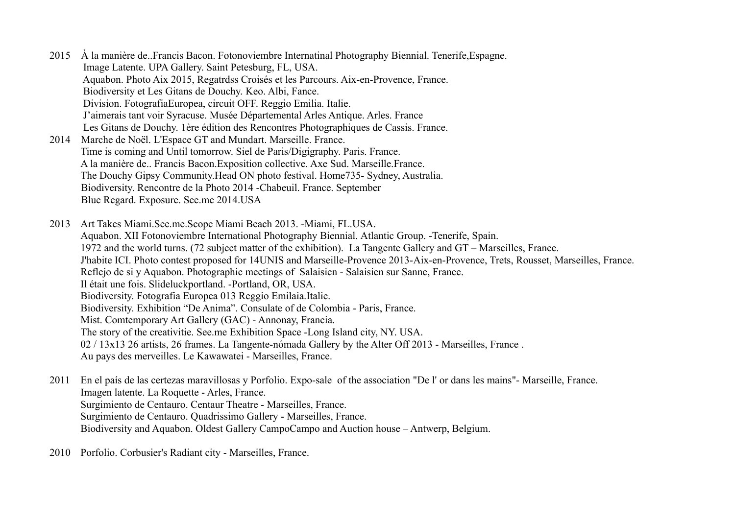- 2015 À la manière de..Francis Bacon. Fotonoviembre Internatinal Photography Biennial. Tenerife,Espagne. Image Latente. UPA Gallery. Saint Petesburg, FL, USA. Aquabon. Photo Aix 2015, Regatrdss Croisés et les Parcours. Aix-en-Provence, France. Biodiversity et Les Gitans de Douchy. Keo. Albi, Fance. Division. FotografiaEuropea, circuit OFF. Reggio Emilia. Italie. J'aimerais tant voir Syracuse. Musée Départemental Arles Antique. Arles. France Les Gitans de Douchy. 1ère édition des Rencontres Photographiques de Cassis. France. 2014 Marche de Noël. L'Espace GT and Mundart. Marseille. France. Time is coming and Until tomorrow. Siel de Paris/Digigraphy. Paris. France. A la manière de.. Francis Bacon.Exposition collective. Axe Sud. Marseille.France.
	- The Douchy Gipsy Community.Head ON photo festival. Home735- Sydney, Australia.
	- Biodiversity. Rencontre de la Photo 2014 -Chabeuil. France. September

Blue Regard. Exposure. See.me 2014.USA

- 2013 Art Takes Miami.See.me.Scope Miami Beach 2013. -Miami, FL.USA. Aquabon. XII Fotonoviembre International Photography Biennial. Atlantic Group. -Tenerife, Spain. 1972 and the world turns. (72 subject matter of the exhibition). La Tangente Gallery and GT – Marseilles, France. J'habite ICI. Photo contest proposed for 14UNIS and Marseille-Provence 2013-Aix-en-Provence, Trets, Rousset, Marseilles, France. Reflejo de si y Aquabon. Photographic meetings of Salaisien - Salaisien sur Sanne, France. Il était une fois. Slideluckportland. -Portland, OR, USA. Biodiversity. Fotografia Europea 013 Reggio Emilaia.Italie. Biodiversity. Exhibition "De Anima". Consulate of de Colombia - Paris, France. Mist. Comtemporary Art Gallery (GAC) - Annonay, Francia. The story of the creativitie. See.me Exhibition Space -Long Island city, NY. USA. 02 / 13x13 26 artists, 26 frames. La Tangente-nómada Gallery by the Alter Off 2013 - Marseilles, France . Au pays des merveilles. Le Kawawatei - Marseilles, France.
- 2011 En el país de las certezas maravillosas y Porfolio. Expo-sale of the association "De l' or dans les mains"- Marseille, France. Imagen latente. La Roquette - Arles, France. Surgimiento de Centauro. Centaur Theatre - Marseilles, France. Surgimiento de Centauro. Quadrissimo Gallery - Marseilles, France. Biodiversity and Aquabon. Oldest Gallery CampoCampo and Auction house – Antwerp, Belgium.
- 2010 Porfolio. Corbusier's Radiant city Marseilles, France.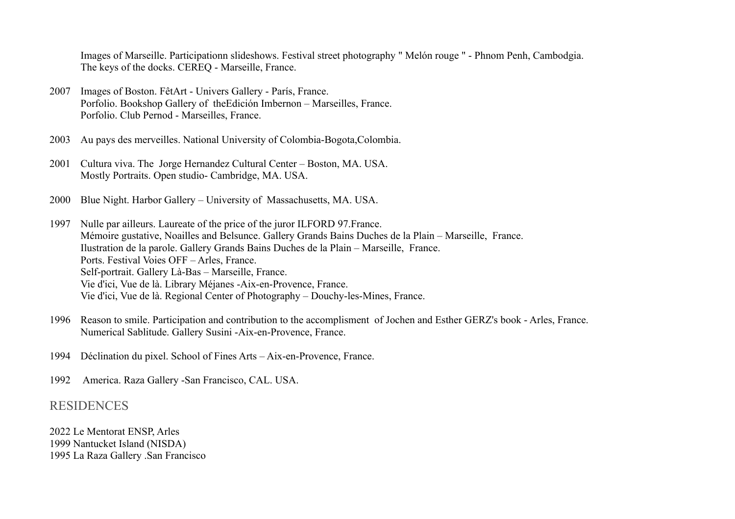Images of Marseille. Participationn slideshows. Festival street photography " Melón rouge " - Phnom Penh, Cambodgia. The keys of the docks. CEREQ - Marseille, France.

- 2007 Images of Boston. FêtArt Univers Gallery París, France. Porfolio. Bookshop Gallery of theEdición Imbernon – Marseilles, France. Porfolio. Club Pernod - Marseilles, France.
- 2003 Au pays des merveilles. National University of Colombia-Bogota,Colombia.
- 2001 Cultura viva. The Jorge Hernandez Cultural Center Boston, MA. USA. Mostly Portraits. Open studio- Cambridge, MA. USA.
- 2000 Blue Night. Harbor Gallery University of Massachusetts, MA. USA.
- 1997 Nulle par ailleurs. Laureate of the price of the juror ILFORD 97.France. Mémoire gustative, Noailles and Belsunce. Gallery Grands Bains Duches de la Plain – Marseille, France. Ilustration de la parole. Gallery Grands Bains Duches de la Plain – Marseille, France. Ports. Festival Voies OFF – Arles, France. Self-portrait. Gallery Là-Bas – Marseille, France. Vie d'ici, Vue de là. Library Méjanes -Aix-en-Provence, France. Vie d'ici, Vue de là. Regional Center of Photography – Douchy-les-Mines, France.
- 1996 Reason to smile. Participation and contribution to the accomplisment of Jochen and Esther GERZ's book Arles, France. Numerical Sablitude. Gallery Susini -Aix-en-Provence, France.
- 1994 Déclination du pixel. School of Fines Arts Aix-en-Provence, France.
- 1992 America. Raza Gallery -San Francisco, CAL. USA.

#### RESIDENCES

2022 Le Mentorat ENSP, Arles 1999 Nantucket Island (NISDA) 1995 La Raza Gallery .San Francisco